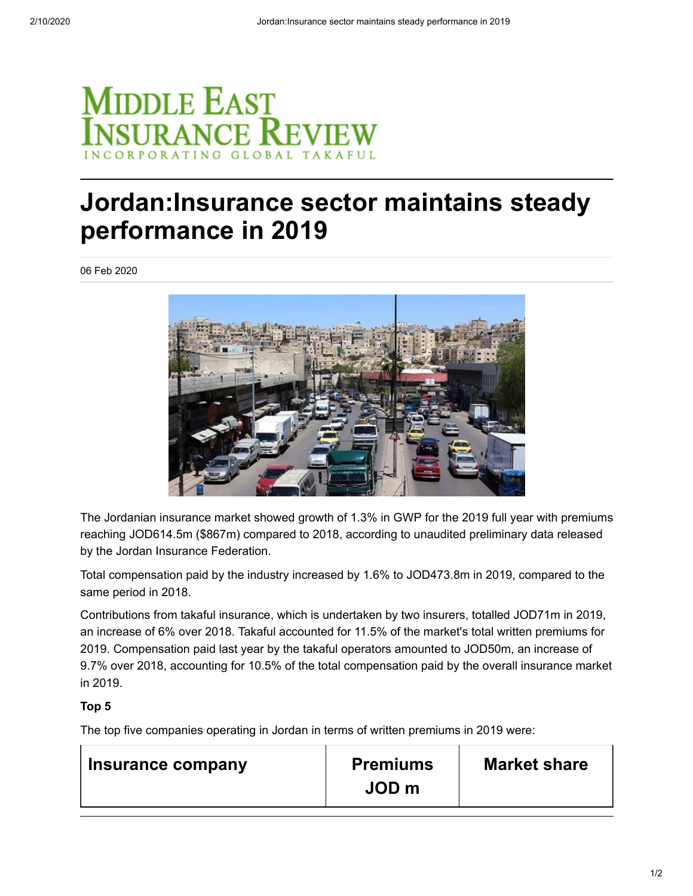

## **Jordan:Insurance sector maintains steady performance in 2019**

06 Feb 2020



The Jordanian insurance market showed growth of 1.3% in GWP for the 2019 full year with premiums reaching JOD614.5m (\$867m) compared to 2018, according to unaudited preliminary data released by the Jordan Insurance Federation.

Total compensation paid by the industry increased by 1.6% to JOD473.8m in 2019, compared to the same period in 2018.

Contributions from takaful insurance, which is undertaken by two insurers, totalled JOD71m in 2019, an increase of 6% over 2018. Takaful accounted for 11.5% of the market's total written premiums for 2019. Compensation paid last year by the takaful operators amounted to JOD50m, an increase of 9.7% over 2018, accounting for 10.5% of the total compensation paid by the overall insurance market in 2019.

## **Top 5**

The top five companies operating in Jordan in terms of written premiums in 2019 were:

| Insurance company | <b>Premiums</b>  | <b>Market share</b> |
|-------------------|------------------|---------------------|
|                   | JOD <sub>m</sub> |                     |